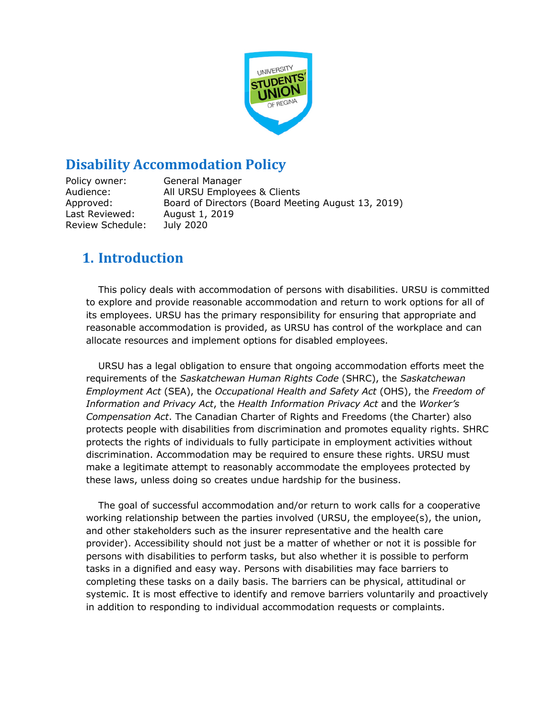

# **Disability Accommodation Policy**

Policy owner: General Manager Audience: All URSU Employees & Clients Approved: Board of Directors (Board Meeting August 13, 2019) Last Reviewed: August 1, 2019 Review Schedule: July 2020

# **1. Introduction**

This policy deals with accommodation of persons with disabilities. URSU is committed to explore and provide reasonable accommodation and return to work options for all of its employees. URSU has the primary responsibility for ensuring that appropriate and reasonable accommodation is provided, as URSU has control of the workplace and can allocate resources and implement options for disabled employees.

URSU has a legal obligation to ensure that ongoing accommodation efforts meet the requirements of the *Saskatchewan Human Rights Code* (SHRC), the *Saskatchewan Employment Act* (SEA), the *Occupational Health and Safety Act* (OHS), the *Freedom of Information and Privacy Act*, the *Health Information Privacy Act* and the *Worker's Compensation Act*. The Canadian Charter of Rights and Freedoms (the Charter) also protects people with disabilities from discrimination and promotes equality rights. SHRC protects the rights of individuals to fully participate in employment activities without discrimination. Accommodation may be required to ensure these rights. URSU must make a legitimate attempt to reasonably accommodate the employees protected by these laws, unless doing so creates undue hardship for the business.

The goal of successful accommodation and/or return to work calls for a cooperative working relationship between the parties involved (URSU, the employee(s), the union, and other stakeholders such as the insurer representative and the health care provider). Accessibility should not just be a matter of whether or not it is possible for persons with disabilities to perform tasks, but also whether it is possible to perform tasks in a dignified and easy way. Persons with disabilities may face barriers to completing these tasks on a daily basis. The barriers can be physical, attitudinal or systemic. It is most effective to identify and remove barriers voluntarily and proactively in addition to responding to individual accommodation requests or complaints.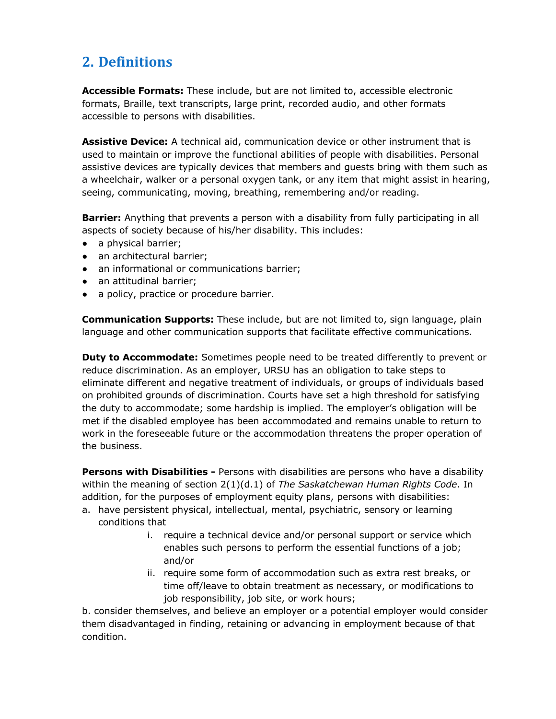# **2. Definitions**

**Accessible Formats:** These include, but are not limited to, accessible electronic formats, Braille, text transcripts, large print, recorded audio, and other formats accessible to persons with disabilities.

**Assistive Device:** A technical aid, communication device or other instrument that is used to maintain or improve the functional abilities of people with disabilities. Personal assistive devices are typically devices that members and guests bring with them such as a wheelchair, walker or a personal oxygen tank, or any item that might assist in hearing, seeing, communicating, moving, breathing, remembering and/or reading.

**Barrier:** Anything that prevents a person with a disability from fully participating in all aspects of society because of his/her disability. This includes:

- a physical barrier;
- an architectural barrier:
- an informational or communications barrier;
- an attitudinal barrier;
- a policy, practice or procedure barrier.

**Communication Supports:** These include, but are not limited to, sign language, plain language and other communication supports that facilitate effective communications.

**Duty to Accommodate:** Sometimes people need to be treated differently to prevent or reduce discrimination. As an employer, URSU has an obligation to take steps to eliminate different and negative treatment of individuals, or groups of individuals based on prohibited grounds of discrimination. Courts have set a high threshold for satisfying the duty to accommodate; some hardship is implied. The employer's obligation will be met if the disabled employee has been accommodated and remains unable to return to work in the foreseeable future or the accommodation threatens the proper operation of the business.

**Persons with Disabilities -** Persons with disabilities are persons who have a disability within the meaning of section 2(1)(d.1) of *The Saskatchewan Human Rights Code*. In addition, for the purposes of employment equity plans, persons with disabilities:

- a. have persistent physical, intellectual, mental, psychiatric, sensory or learning conditions that
	- i. require a technical device and/or personal support or service which enables such persons to perform the essential functions of a job; and/or
	- ii. require some form of accommodation such as extra rest breaks, or time off/leave to obtain treatment as necessary, or modifications to job responsibility, job site, or work hours;

b. consider themselves, and believe an employer or a potential employer would consider them disadvantaged in finding, retaining or advancing in employment because of that condition.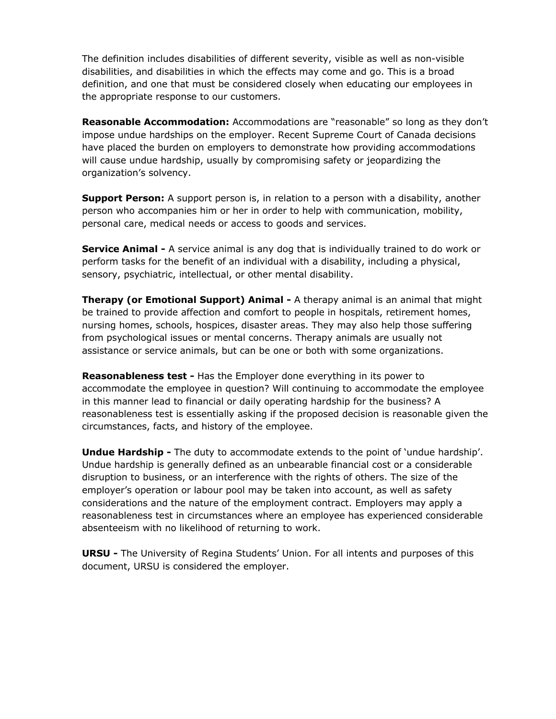The definition includes disabilities of different severity, visible as well as non-visible disabilities, and disabilities in which the effects may come and go. This is a broad definition, and one that must be considered closely when educating our employees in the appropriate response to our customers.

**Reasonable Accommodation:** Accommodations are "reasonable" so long as they don't impose undue hardships on the employer. Recent Supreme Court of Canada decisions have placed the burden on employers to demonstrate how providing accommodations will cause undue hardship, usually by compromising safety or jeopardizing the organization's solvency.

**Support Person:** A support person is, in relation to a person with a disability, another person who accompanies him or her in order to help with communication, mobility, personal care, medical needs or access to goods and services.

**Service Animal -** A service animal is any dog that is individually trained to do work or perform tasks for the benefit of an individual with a disability, including a physical, sensory, psychiatric, intellectual, or other mental disability.

**Therapy (or Emotional Support) Animal -** A therapy animal is an animal that might be trained to provide affection and comfort to people in hospitals, retirement homes, nursing homes, schools, hospices, disaster areas. They may also help those suffering from psychological issues or mental concerns. Therapy animals are usually not assistance or service animals, but can be one or both with some organizations.

**Reasonableness test -** Has the Employer done everything in its power to accommodate the employee in question? Will continuing to accommodate the employee in this manner lead to financial or daily operating hardship for the business? A reasonableness test is essentially asking if the proposed decision is reasonable given the circumstances, facts, and history of the employee.

**Undue Hardship -** The duty to accommodate extends to the point of 'undue hardship'. Undue hardship is generally defined as an unbearable financial cost or a considerable disruption to business, or an interference with the rights of others. The size of the employer's operation or labour pool may be taken into account, as well as safety considerations and the nature of the employment contract. Employers may apply a reasonableness test in circumstances where an employee has experienced considerable absenteeism with no likelihood of returning to work.

**URSU -** The University of Regina Students' Union. For all intents and purposes of this document, URSU is considered the employer.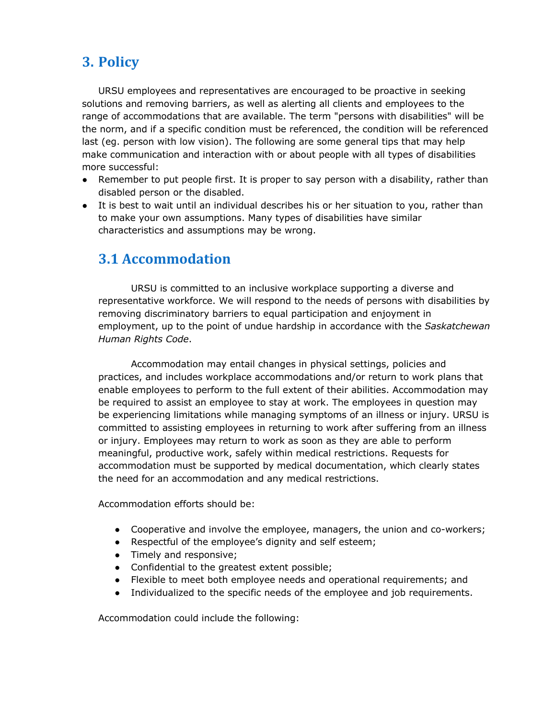# **3. Policy**

URSU employees and representatives are encouraged to be proactive in seeking solutions and removing barriers, as well as alerting all clients and employees to the range of accommodations that are available. The term "persons with disabilities" will be the norm, and if a specific condition must be referenced, the condition will be referenced last (eg. person with low vision). The following are some general tips that may help make communication and interaction with or about people with all types of disabilities more successful:

- Remember to put people first. It is proper to say person with a disability, rather than disabled person or the disabled.
- It is best to wait until an individual describes his or her situation to you, rather than to make your own assumptions. Many types of disabilities have similar characteristics and assumptions may be wrong.

# **3.1 Accommodation**

URSU is committed to an inclusive workplace supporting a diverse and representative workforce. We will respond to the needs of persons with disabilities by removing discriminatory barriers to equal participation and enjoyment in employment, up to the point of undue hardship in accordance with the *Saskatchewan Human Rights Code*.

Accommodation may entail changes in physical settings, policies and practices, and includes workplace accommodations and/or return to work plans that enable employees to perform to the full extent of their abilities. Accommodation may be required to assist an employee to stay at work. The employees in question may be experiencing limitations while managing symptoms of an illness or injury. URSU is committed to assisting employees in returning to work after suffering from an illness or injury. Employees may return to work as soon as they are able to perform meaningful, productive work, safely within medical restrictions. Requests for accommodation must be supported by medical documentation, which clearly states the need for an accommodation and any medical restrictions.

Accommodation efforts should be:

- Cooperative and involve the employee, managers, the union and co-workers;
- Respectful of the employee's dignity and self esteem;
- Timely and responsive;
- Confidential to the greatest extent possible;
- Flexible to meet both employee needs and operational requirements; and
- Individualized to the specific needs of the employee and job requirements.

Accommodation could include the following: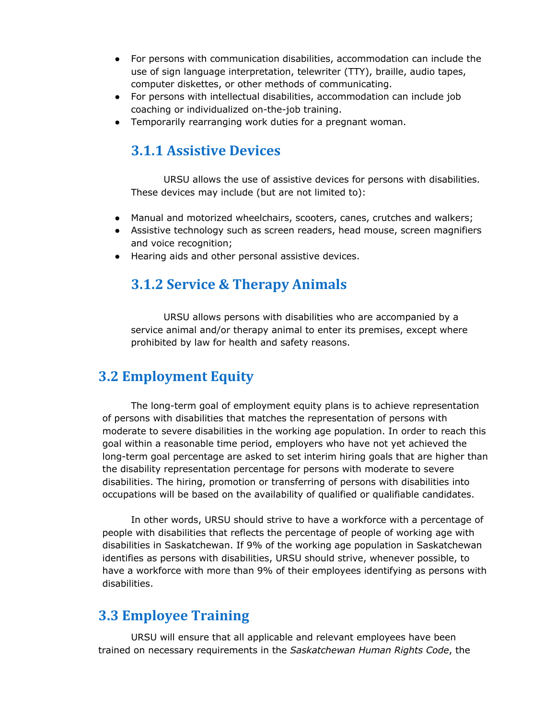- For persons with communication disabilities, accommodation can include the use of sign language interpretation, telewriter (TTY), braille, audio tapes, computer diskettes, or other methods of communicating.
- For persons with intellectual disabilities, accommodation can include job coaching or individualized on-the-job training.
- Temporarily rearranging work duties for a pregnant woman.

# **3.1.1 Assistive Devices**

URSU allows the use of assistive devices for persons with disabilities. These devices may include (but are not limited to):

- Manual and motorized wheelchairs, scooters, canes, crutches and walkers;
- Assistive technology such as screen readers, head mouse, screen magnifiers and voice recognition;
- Hearing aids and other personal assistive devices.

# **3.1.2 Service & Therapy Animals**

URSU allows persons with disabilities who are accompanied by a service animal and/or therapy animal to enter its premises, except where prohibited by law for health and safety reasons.

# **3.2 Employment Equity**

The long-term goal of employment equity plans is to achieve representation of persons with disabilities that matches the representation of persons with moderate to severe disabilities in the working age population. In order to reach this goal within a reasonable time period, employers who have not yet achieved the long-term goal percentage are asked to set interim hiring goals that are higher than the disability representation percentage for persons with moderate to severe disabilities. The hiring, promotion or transferring of persons with disabilities into occupations will be based on the availability of qualified or qualifiable candidates.

In other words, URSU should strive to have a workforce with a percentage of people with disabilities that reflects the percentage of people of working age with disabilities in Saskatchewan. If 9% of the working age population in Saskatchewan identifies as persons with disabilities, URSU should strive, whenever possible, to have a workforce with more than 9% of their employees identifying as persons with disabilities.

# **3.3 Employee Training**

URSU will ensure that all applicable and relevant employees have been trained on necessary requirements in the *Saskatchewan Human Rights Code*, the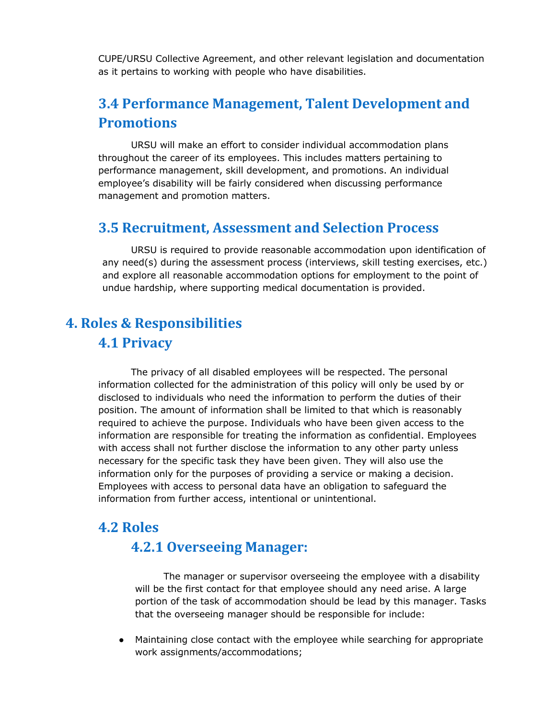CUPE/URSU Collective Agreement, and other relevant legislation and documentation as it pertains to working with people who have disabilities.

# **3.4 Performance Management, Talent Development and Promotions**

URSU will make an effort to consider individual accommodation plans throughout the career of its employees. This includes matters pertaining to performance management, skill development, and promotions. An individual employee's disability will be fairly considered when discussing performance management and promotion matters.

### **3.5 Recruitment, Assessment and Selection Process**

URSU is required to provide reasonable accommodation upon identification of any need(s) during the assessment process (interviews, skill testing exercises, etc.) and explore all reasonable accommodation options for employment to the point of undue hardship, where supporting medical documentation is provided.

# **4. Roles & Responsibilities 4.1 Privacy**

The privacy of all disabled employees will be respected. The personal information collected for the administration of this policy will only be used by or disclosed to individuals who need the information to perform the duties of their position. The amount of information shall be limited to that which is reasonably required to achieve the purpose. Individuals who have been given access to the information are responsible for treating the information as confidential. Employees with access shall not further disclose the information to any other party unless necessary for the specific task they have been given. They will also use the information only for the purposes of providing a service or making a decision. Employees with access to personal data have an obligation to safeguard the information from further access, intentional or unintentional.

#### **4.2 Roles**

### **4.2.1 Overseeing Manager:**

The manager or supervisor overseeing the employee with a disability will be the first contact for that employee should any need arise. A large portion of the task of accommodation should be lead by this manager. Tasks that the overseeing manager should be responsible for include:

● Maintaining close contact with the employee while searching for appropriate work assignments/accommodations;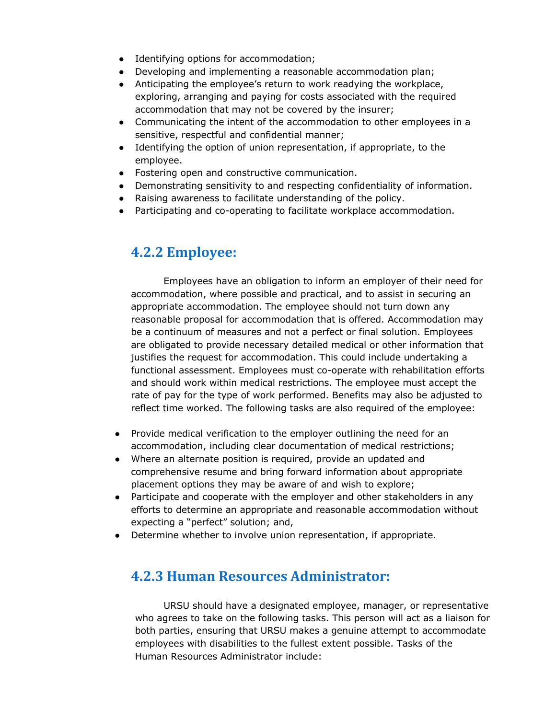- Identifying options for accommodation;
- Developing and implementing a reasonable accommodation plan;
- Anticipating the employee's return to work readying the workplace, exploring, arranging and paying for costs associated with the required accommodation that may not be covered by the insurer;
- Communicating the intent of the accommodation to other employees in a sensitive, respectful and confidential manner;
- Identifying the option of union representation, if appropriate, to the employee.
- Fostering open and constructive communication.
- Demonstrating sensitivity to and respecting confidentiality of information.
- Raising awareness to facilitate understanding of the policy.
- Participating and co-operating to facilitate workplace accommodation.

### **4.2.2 Employee:**

Employees have an obligation to inform an employer of their need for accommodation, where possible and practical, and to assist in securing an appropriate accommodation. The employee should not turn down any reasonable proposal for accommodation that is offered. Accommodation may be a continuum of measures and not a perfect or final solution. Employees are obligated to provide necessary detailed medical or other information that justifies the request for accommodation. This could include undertaking a functional assessment. Employees must co-operate with rehabilitation efforts and should work within medical restrictions. The employee must accept the rate of pay for the type of work performed. Benefits may also be adjusted to reflect time worked. The following tasks are also required of the employee:

- Provide medical verification to the employer outlining the need for an accommodation, including clear documentation of medical restrictions;
- Where an alternate position is required, provide an updated and comprehensive resume and bring forward information about appropriate placement options they may be aware of and wish to explore;
- Participate and cooperate with the employer and other stakeholders in any efforts to determine an appropriate and reasonable accommodation without expecting a "perfect" solution; and,
- Determine whether to involve union representation, if appropriate.

## **4.2.3 Human Resources Administrator:**

URSU should have a designated employee, manager, or representative who agrees to take on the following tasks. This person will act as a liaison for both parties, ensuring that URSU makes a genuine attempt to accommodate employees with disabilities to the fullest extent possible. Tasks of the Human Resources Administrator include: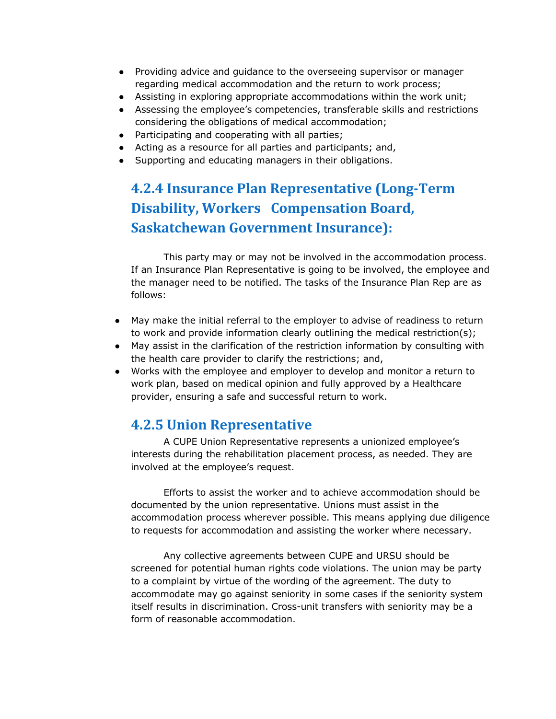- Providing advice and guidance to the overseeing supervisor or manager regarding medical accommodation and the return to work process;
- Assisting in exploring appropriate accommodations within the work unit;
- Assessing the employee's competencies, transferable skills and restrictions considering the obligations of medical accommodation;
- Participating and cooperating with all parties;
- Acting as a resource for all parties and participants; and,
- Supporting and educating managers in their obligations.

# **4.2.4 Insurance Plan Representative (Long-Term Disability, Workers Compensation Board, Saskatchewan Government Insurance):**

This party may or may not be involved in the accommodation process. If an Insurance Plan Representative is going to be involved, the employee and the manager need to be notified. The tasks of the Insurance Plan Rep are as follows:

- May make the initial referral to the employer to advise of readiness to return to work and provide information clearly outlining the medical restriction(s);
- May assist in the clarification of the restriction information by consulting with the health care provider to clarify the restrictions; and,
- Works with the employee and employer to develop and monitor a return to work plan, based on medical opinion and fully approved by a Healthcare provider, ensuring a safe and successful return to work.

## **4.2.5 Union Representative**

A CUPE Union Representative represents a unionized employee's interests during the rehabilitation placement process, as needed. They are involved at the employee's request.

Efforts to assist the worker and to achieve accommodation should be documented by the union representative. Unions must assist in the accommodation process wherever possible. This means applying due diligence to requests for accommodation and assisting the worker where necessary.

Any collective agreements between CUPE and URSU should be screened for potential human rights code violations. The union may be party to a complaint by virtue of the wording of the agreement. The duty to accommodate may go against seniority in some cases if the seniority system itself results in discrimination. Cross-unit transfers with seniority may be a form of reasonable accommodation.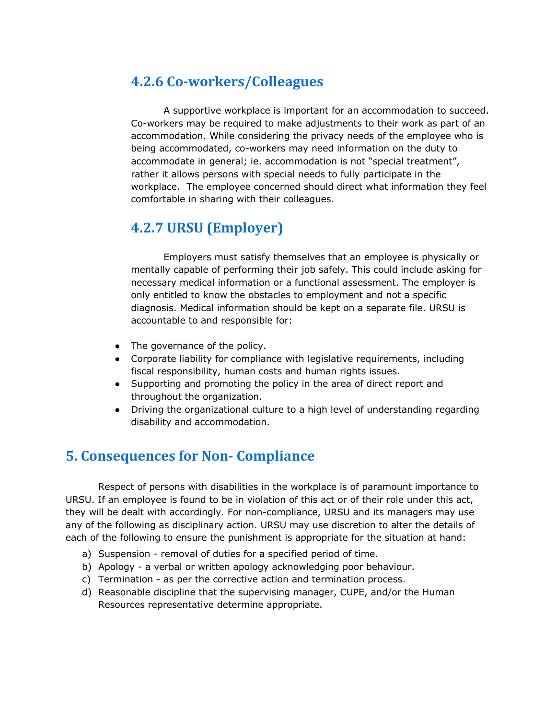# **4.2.6 Co-workers/Colleagues**

A supportive workplace is important for an accommodation to succeed. Co-workers may be required to make adjustments to their work as part of an accommodation. While considering the privacy needs of the employee who is being accommodated, co-workers may need information on the duty to accommodate in general; ie. accommodation is not "special treatment", rather it allows persons with special needs to fully participate in the workplace. The employee concerned should direct what information they feel comfortable in sharing with their colleagues.

# **4.2.7 URSU (Employer)**

Employers must satisfy themselves that an employee is physically or mentally capable of performing their job safely. This could include asking for necessary medical information or a functional assessment. The employer is only entitled to know the obstacles to employment and not a specific diagnosis. Medical information should be kept on a separate file. URSU is accountable to and responsible for:

- The governance of the policy.
- Corporate liability for compliance with legislative requirements, including fiscal responsibility, human costs and human rights issues.
- Supporting and promoting the policy in the area of direct report and throughout the organization.
- Driving the organizational culture to a high level of understanding regarding disability and accommodation.

# **5. Consequences for Non- Compliance**

Respect of persons with disabilities in the workplace is of paramount importance to URSU. If an employee is found to be in violation of this act or of their role under this act, they will be dealt with accordingly. For non-compliance, URSU and its managers may use any of the following as disciplinary action. URSU may use discretion to alter the details of each of the following to ensure the punishment is appropriate for the situation at hand:

- a) Suspension removal of duties for a specified period of time.
- b) Apology a verbal or written apology acknowledging poor behaviour.
- c) Termination as per the corrective action and termination process.
- d) Reasonable discipline that the supervising manager, CUPE, and/or the Human Resources representative determine appropriate.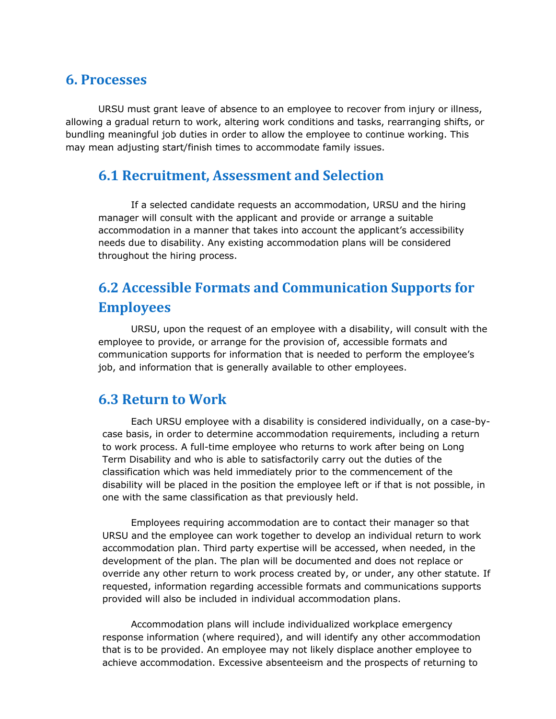#### **6. Processes**

URSU must grant leave of absence to an employee to recover from injury or illness, allowing a gradual return to work, altering work conditions and tasks, rearranging shifts, or bundling meaningful job duties in order to allow the employee to continue working. This may mean adjusting start/finish times to accommodate family issues.

### **6.1 Recruitment, Assessment and Selection**

If a selected candidate requests an accommodation, URSU and the hiring manager will consult with the applicant and provide or arrange a suitable accommodation in a manner that takes into account the applicant's accessibility needs due to disability. Any existing accommodation plans will be considered throughout the hiring process.

# **6.2 Accessible Formats and Communication Supports for Employees**

URSU, upon the request of an employee with a disability, will consult with the employee to provide, or arrange for the provision of, accessible formats and communication supports for information that is needed to perform the employee's job, and information that is generally available to other employees.

#### **6.3 Return to Work**

Each URSU employee with a disability is considered individually, on a case-bycase basis, in order to determine accommodation requirements, including a return to work process. A full-time employee who returns to work after being on Long Term Disability and who is able to satisfactorily carry out the duties of the classification which was held immediately prior to the commencement of the disability will be placed in the position the employee left or if that is not possible, in one with the same classification as that previously held.

Employees requiring accommodation are to contact their manager so that URSU and the employee can work together to develop an individual return to work accommodation plan. Third party expertise will be accessed, when needed, in the development of the plan. The plan will be documented and does not replace or override any other return to work process created by, or under, any other statute. If requested, information regarding accessible formats and communications supports provided will also be included in individual accommodation plans.

Accommodation plans will include individualized workplace emergency response information (where required), and will identify any other accommodation that is to be provided. An employee may not likely displace another employee to achieve accommodation. Excessive absenteeism and the prospects of returning to